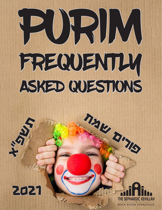# PURIM FREQUENTLY ASKED QUESTIONS



תשפ"א



פורים שמח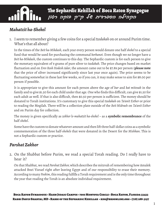## <u>Mahatzit ha-Shekel</u>

THE SEPHARDIC KEHILLAH

1. I seem to remember giving a few coins for a special *tzedakah* on or around Purim time. What's that all about?

In the times of the *Beit ha-Mikdash*, each year every person would donate one half *shekel* to a special fund that would be used for purchasing the communal *korbanot*. Even though we no longer have a *Beit ha-Mikdash*, the custom continues to this day. The Sephardic custom is for each person to give the monetary equivalent of 9 grams of pure silver to *tzedakah*. The price changes based on market fluctuation and on *Erev Rosh Hodesh Adar*, the amount came out to be \$7.89 per person (**please note** that the price of silver increased significantly since last year once again). The price seems to be fluctuating somewhat in these last few weeks, so if you can, it may make sense to aim for \$8.00 per person if possible.

It is appropriate to give this amount for each person above the age of *bar* and *bat mitzvah* in the family and to give \$1.50 for each child under that age. One who finds this difficult, can give \$1.50 for each adult as well. If that is also difficult, then \$0.50 per person is sufficient. The money should be donated to Torah institutions. It's customary to give this special *tzedakah* on *Ta'anit Esther* or prior to reading the Megilah. There will be a collection plate outside of the *Beit Midrash* on *Ta'anit Esther*  and on Purim day for collection.

The money is given specifically as *zekher le-mahatzit ha-shekel* – as a **symbolic remembrance** of the half *shekel*.

Some have the custom to donate whatever amount and then lift three half-dollar coins as a symbolic commemoration of the three half-*shekels* that were donated in the Desert for the *Mishkan*. This is not a Sephardic custom or practice.

### *Parshat Zakhor*

2. On the Shabbat before Purim, we read a special Torah reading. Do I really have to hear it?

On that Shabbat, we read *Parshat Zakhor,* which describes the mitzvah of remembering how Amalek attacked Bnei Yisrael right after leaving Egypt and of our responsibility to erase their memory. According to many *Poskim*, this reading fulfills a Torah requirement and is the only time throughout the year that reading the Torah is an absolute individual requirement.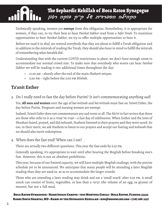Technically speaking, women are **exempt** from this obligation. Nonetheless, it is appropriate for women, if they can, to try their best to hear *Parshat Zakhor* read from a *Sefer Torah*. To maximize opportunities to hear *Parshat Zakhor*, we try to offer multiple opportunities to hear it. of

Before we read it in shul, we remind everybody that they are about to fulfill a Torah obligation and in addition to the mitzvah of reading the Torah, they should also have in mind to fulfill the mitzvah of remembering what Amalek did.

Understanding that with the current COVID restrictions in place, we don't have enough room to accommodate our normal crowd size. To make sure that everybody who wants can hear *Parshat Zakhor* we will be reading it two additional times throughout the day:

- 11:30 am shortly after the end of the main *Shaharit minyan*.
- 2:50 pm right before the 3:00 pm *Minhah*.

## **Ta'anit Esther**

THE SEPHARDIC KEHILLAH

3. Do I really need to fast the day before Purim? It isn't commemorating anything sad!

Yes. **All men and women** over the age of *bar mitzvah* and *bat mitzvah* must fast on *Ta'anit Esther*, the day before Purim. Pregnant and nursing women are exempt.

Indeed, *Ta'anit Esther* does not commemorate any sad event at all. The *Me'iri* in fact writes that there are those who refer to it as a שמחה של תענית – a fast day of celebration. When Esther and the Jews of Shushan fasted, prayed, and did *teshuvah*, Hashem listened to their prayers and they were saved. So too, in their merit, we ask Hashem to listen to our prayers and accept our fasting and *teshuvah* that we should also merit redemption.

4. When does the fast end? When can I eat?

There are actually two different questions. This year the fast ends by 6:35 pm.

Generally speaking, it's appropriate to wait until after hearing the Megilah before breaking one's fast. However, this is not an absolute prohibition.

This year, because of our limited capacity, we will have multiple Megilah readings, with the precise schedule yet to be announced. We anticipate that many people will be attending a later Megilah reading than they are used to, so as to accommodate the larger crowds.

Those who are attending a later reading may drink and eat a 'small snack' after 6:35 pm. A small snack can consist of fruits, vegetables, or less than a כביצה) the volume of an egg, 54 grams) of *mezonot*, but not a full meal.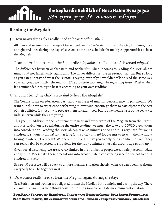## Reading the Megilah

THE SEPHARDIC KEHILLAH

5. How many times do I really need to hear *Megilat Esther*?

**All men and women** over the age of *bar mitzvah* and *bat mitzvah* must hear the Megilah **twice**, once at night and once during the day. Please look at the BRS schedule for multiple opportunities to hear the Megilah.

6. I cannot make it to one of the Sephardic *minyanim*, can I go to an Ashkenazi *minyan*?

The differences between Ashkenazim and Sephardim when it comes to reading the Megilah are minor and not halakhically significant. The major differences are in pronounciation. But so long as you can understand what the *Hazzan* is saying, even if you wouldn't talk or read the same way yourself, you have fulfilled the mitzvah. [The only hesitation might be regarding *Parshat Zakhor* when it's commendable to try to hear it according to your own tradition.]

7. Should I bring my children to *shul* to hear the Megilah?

The Torah's focus on education, particularly in areas of mitzvah performance, is paramount. We want our children to experience performing mitzvot and encourage them to participate to the best of their abilities. It's not only to prepare them for adulthood, but to give them a taste of the beauty of Judaism even while they are young.

This year, in addition to the requirement to hear and every word of the Megilah from the *Hazzan* and it is **forbidden to speak during the entire** reading, we must also take our COVID precautions into consideration. Reading the Megilah can take 40 minutes or so and it is very hard for young children to sit quietly in *shul* for that long (and equally as hard for parents to sit with them without having to interrupt or speak). We therefore strongly urge you to only bring children to *shul* if they can reasonably be expected to sit quietly for the full 40 minutes – usually around age 10 and up.

Given social distancing, we are severely limited in the number of people we can safely accommodate at any time. Please take these precautions into account when considering whether or not to bring children this year.

*Be-ezrat Hashem* we will be back to a more 'normal' situation shortly when we can openly welcome evreybody to all be together in *shul*.

8. Do women really need to hear the Megilah again during the day?

**Yes**. Both men and women are obligated to hear the Megilah both at night **and** during the day. There are multiple *minyanim* held throughout the morning so as to facilitate maximum participation.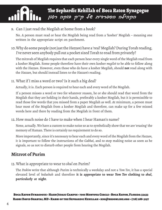9. Can I just read the Megilah at home from a book?

No. A person must read or hear the Megilah being read from a 'kosher' Megilah – meaning one written in the appropriate script on parchment.

10.Why do some people (not just the *Hazzan*) have a 'real' Megilah? During Torah reading, I've never seen anybody pull out a pocket sized Torah to read from privately?

The mitzvah of Megilah requires that each person hear every single word of the Megilah read from a kosher Megilah. Some people therefore have their own kosher *megilot* to be able to follow along with the *Hazzan*. However, even those who do have a kosher Megilah, should **not** read along with the *Hazzan*, but should instead listen to the *Hazzan's* reading.

11. What if I miss a word or two? Is it such a big deal?

Actually, it is. Each person is required to hear each and every word of the Megilah.

If a person misses a word or two for whatever reason, he or she should read that word from the Megilah that they are holding in their hands, preferably a kosher Megilah, but it is permissible to read those few words that you missed from a paper Megilah as well. At minimum, a person must hear most of the Megilah from a kosher Megilah and therefore, can make up for a few missed words here and there by reading from the Megilah in front of them.

12.How much noise do I have to make when I hear Haman's name?

None, actually. We have a custom to make noise so as to symbolically show that we are 'erasing' the memory of Haman. There is certainly no requirement to do so.

More importantly, since it's necessary to hear each and every word of the Megilah from the *Hazzan*, it is important to follow the instructions of the *Gabbai*, and to stop making noise as soon as he signals, so as not to disturb other people from hearing the Megilah.

## **Mitzvot of Purim**

THE SEPHARDIC KEHILLAH

13. What is appropriate to wear to *shul* on Purim?

The *Poskim* write that although Purim is technically a weekday and not a *Yom Tov*, it has a special elevated level of *kedushah* and therefore **it is appropriate to wear** *Yom Tov* **clothing to** *shul***, particularly at night**.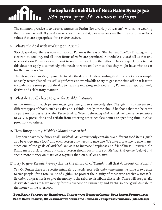The common practice is to wear costumes on Purim (for a variety of reasons), with some wearing them to *shul* as well. If you do wear a costume to *shul*, please make sure that the costume reflects values that are appropriate for a *makom kadosh*.

#### 14. What's the deal with working on Purim?

THE SEPHARDIC KEHILLAH

Strictly speaking, there is no מלאכה איסור on Purim as there is on Shabbat and *Yom Tov*. Driving, using electronics, cooking, and all other forms of מלאכה are permitted. Nonetheless, *Hazal* tell us that one who works on Purim does not merit to see a ברכה סימן from that effort. They are quick to note that this does not apply to somebody who needs to work on Purim so that they might have what to eat for the Purim *seudah*.

Therefore, it's advisable, if possible, to take the day off. Understanding that this is not always simple or easily accomplished, it's still significant and worthwhile to try to get some time off or at least to try to dedicate some part of the day to truly appreciating and celebrating Purim in an appropriately festive and celebratory manner.

#### 15. What do I really have to give for *Mishlo'ah Manot*?

At the minimum, each person must give one gift to somebody else. The gift must contain two different types of foods, such as cake and a drink. Ideally, these should be foods that can be eaten as part (or for dessert) of the *Purim Seudah*. When delivering *Mishlo'ah Manot* please be sensitive to COVID precautions and refrain from entering other people's homes or spending time in close proximity to others.

#### 16. How fancy do my *Mishlo'ah Manot* have to be?

They don't have to be fancy at all! *Mishlo'ah Manot* must only contain two different food items (such as a beverage and a food) and each person only needs to give one. We have a practice to give many, since one of the goals of *Mishlo'ah Manot* is to increase happiness and friendliness. However, the Rambam is quick to point out that a person should focus more on *Matanot la-Evyonim* (below) and spend more money on *Matanot la-Evyonim* than on *Mishlo'ah Manot*.

#### 17. I try to give *Tzedakah* every day. Is the mitzvah of *Tzedakah* all that different on Purim?

Yes. On Purim there is a specific mitzvah to give *Matanot la-Evyonim* – meaning the value of two gifts to two people (for a total value of 4 gifts). To protect the dignity of those who receive *Matanot la-Evyonim*, our practice is to give the money to the rabbi to distribute discretely. There will be specially designated areas to leave money for this purpose on Purim day and Rabbi Goldberg will distribute the money in the afternoon.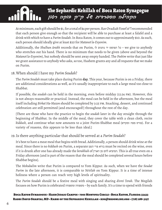At minimum, each gift should be \$1, for a total of \$4 per person. Rav Ovadiah Yosef zt"l recommended that each person give enough so that the recipient will be able to purchase at least a falafel and a drink with which to have a *Purim Seudah*. In Boca Raton, it comes out to approximately \$10. As such, each person should ideally give at least \$20 for *Matanot la-Evyonim*. of

Additionally, the *Shulhan Arukh* records that on Purim, לו נותנים יד הפושט כל – we give to anybody who stretches out his hand. There is no minimum that needs to be given (above and beyond the *Matanot la-Evyonim*), but nobody should be sent away empty handed. The *Poskim* write that just like we grant assistance to anybody who asks, so too, Hashem grants any and all requests that we make on Purim.

#### 18.When should I have my *Purim Seudah*?

THE SEPHARDIC KEHILLAH

The *Purim Seudah* must take place during Purim **day**. This year, because Purim is on a Friday, there are additional considerations as well, as it's usually inappropriate to each a large meal too close to Shabbat.

If possible, the *seudah* can be held in the morning, even before midday (12:34 pm). However, this is not always reasonable or practical. Instead, the meal can be held in the afternoon, but the meal itself including *Birkat Ha-Mazon* should be completed by 3:25 pm. Snacking, dessert, and continued celebration are still permitted [and encouraged!] throughout the rest of the day.

[There are those who have the practice to begin the *seudah* later in the day straight through the beginning of Shabbat. In the middle of the meal, they cover the table with a clean cloth, recite *kiddush*, and continue what now amounts to a joint Purim-Shabbat meal (ומקדש מפה פורס(. For a variety of reasons, this appears to be less than ideal.]

#### 19.Is there anything particular that should be served at a *Purim Seudah*?

It's best to have a meat meal that begins with bread. Additionally, a person should drink wine at the meal. Since there is no *kiddush* on Purim, a separate הגפן פרי בורא must be recited on the wine, even if it is drunk after one has already made the *berakhah* of הארץ מן לחם המוציא. This is all true even on a Friday afternoon [and is part of the reason that the meal should be completed several hours before Shabbat begins].

The *Mekubalim* write that Purim is compared to Yom Kippur. As such, when we have the *Seudat Purim* in the late afternoon, it is comparable to *Ne'eilah* on Yom Kippur. It is a time of intense holiness where a person can reach very high levels of spirituality.

The *Purim Seudah* should be a festive meal with singing and sharing *divrei Torah*. The Megilah focuses on how Purim is celebrated ומשפחה משפחה – by each family. It's a time to spend with friends